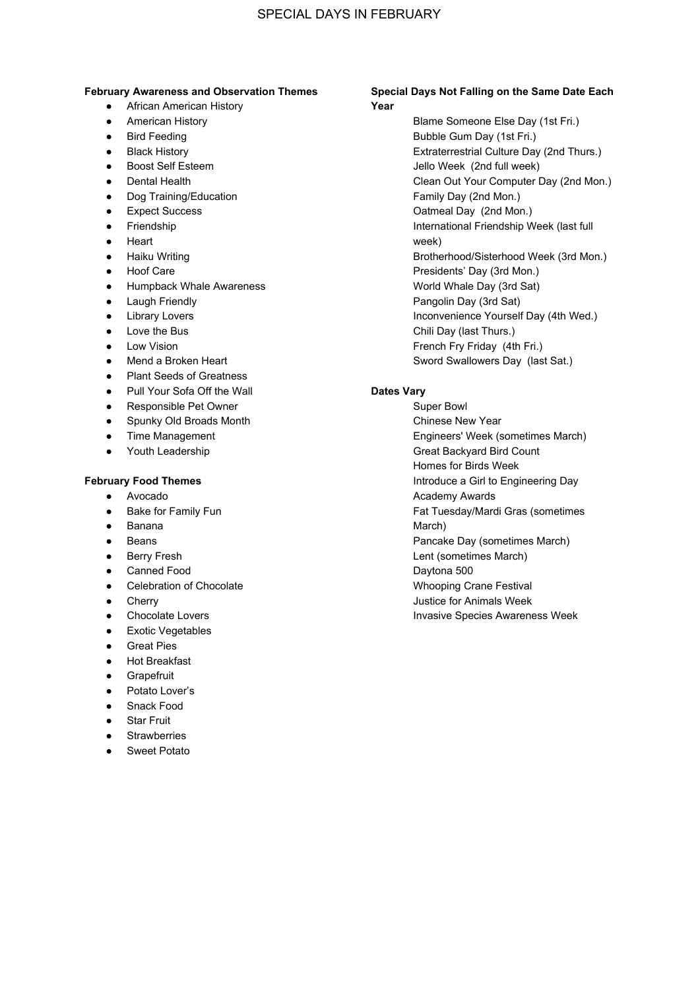# SPECIAL DAYS IN FEBRUARY

#### **February Awareness and Observation Themes**

- **•** African American History
- American History
- Bird Feeding
- Black History
- Boost Self Esteem
- Dental Health
- Dog Training/Education
- Expect Success
- Friendship
- Heart
- Haiku Writing
- Hoof Care
- Humpback Whale Awareness
- Laugh Friendly
- Library Lovers
- Love the Bus
- Low Vision
- Mend a Broken Heart
- Plant Seeds of Greatness
- Pull Your Sofa Off the Wall
- Responsible Pet Owner
- Spunky Old Broads Month
- Time Management
- Youth Leadership

### **February Food Themes**

- Avocado
- Bake for Family Fun
- Banana
- Beans
- Berry Fresh
- Canned Food
- Celebration of Chocolate
- Cherry
- Chocolate Lovers
- Exotic Vegetables
- Great Pies
- Hot Breakfast
- **Grapefruit**
- Potato Lover's
- Snack Food
- Star Fruit
- **Strawberries**
- **Sweet Potato**

## **Special Days Not Falling on the Same Date Each Year**

Blame Someone Else Day (1st Fri.) Bubble Gum Day (1st Fri.) Extraterrestrial Culture Day (2nd Thurs.) Jello Week (2nd full week) Clean Out Your Computer Day (2nd Mon.) Family Day (2nd Mon.) Oatmeal Day (2nd Mon.) International Friendship Week (last full week) Brotherhood/Sisterhood Week (3rd Mon.) Presidents' Day (3rd Mon.) World Whale Day (3rd Sat) Pangolin Day (3rd Sat) Inconvenience Yourself Day (4th Wed.) Chili Day (last Thurs.) French Fry Friday (4th Fri.) Sword Swallowers Day (last Sat.)

#### **Dates Vary**

Super Bowl Chinese New Year Engineers' Week (sometimes March) Great Backyard Bird Count Homes for Birds Week Introduce a Girl to Engineering Day Academy Awards Fat Tuesday/Mardi Gras (sometimes March) Pancake Day (sometimes March) Lent (sometimes March) Daytona 500 Whooping Crane Festival Justice for Animals Week Invasive Species Awareness Week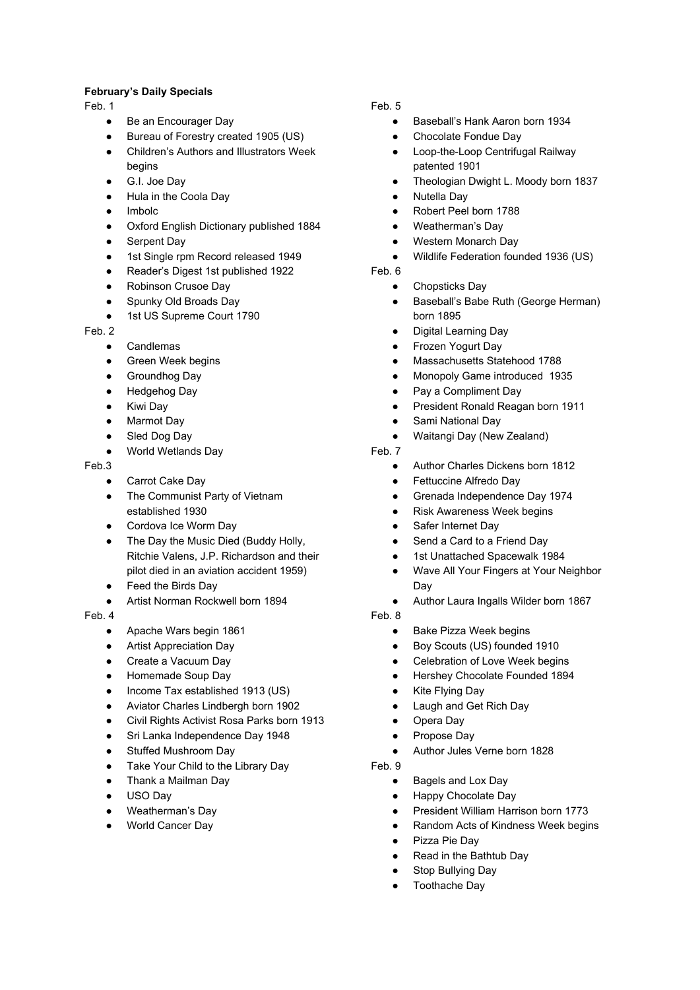## **February's Daily Specials**

Feb. 1

- Be an Encourager Day
- Bureau of Forestry created 1905 (US)
- Children's Authors and Illustrators Week begins
- G.I. Joe Day
- Hula in the Coola Day
- Imbolc
- Oxford English Dictionary published 1884
- Serpent Day
- 1st Single rpm Record released 1949
- Reader's Digest 1st published 1922
- Robinson Crusoe Day
- Spunky Old Broads Day
- 1st US Supreme Court 1790

Feb. 2

- **Candlemas**
- Green Week begins
- Groundhog Day
- Hedgehog Day
- Kiwi Day
- Marmot Day
- Sled Dog Day
- World Wetlands Day

Feb.3

- Carrot Cake Day
- The Communist Party of Vietnam established 1930
- Cordova Ice Worm Day
- The Day the Music Died (Buddy Holly, Ritchie Valens, J.P. Richardson and their pilot died in an aviation accident 1959)
- Feed the Birds Day
- Artist Norman Rockwell born 1894

#### Feb. 4

- Apache Wars begin 1861
- **Artist Appreciation Day**
- Create a Vacuum Day
- Homemade Soup Day
- Income Tax established 1913 (US)
- Aviator Charles Lindbergh born 1902
- Civil Rights Activist Rosa Parks born 1913
- Sri Lanka Independence Day 1948
- Stuffed Mushroom Day
- Take Your Child to the Library Day
- Thank a Mailman Day
- USO Day
- Weatherman's Day
- World Cancer Day

### Feb. 5

- Baseball's Hank Aaron born 1934
- Chocolate Fondue Day
- Loop-the-Loop Centrifugal Railway patented 1901
- Theologian Dwight L. Moody born 1837
- **Nutella Dav**
- Robert Peel born 1788
- Weatherman's Day
- Western Monarch Day
- Wildlife Federation founded 1936 (US)
- Feb. 6
	- Chopsticks Day
	- Baseball's Babe Ruth (George Herman) born 1895
	- **Digital Learning Day**
	- Frozen Yogurt Day
	- Massachusetts Statehood 1788
	- Monopoly Game introduced 1935
	- Pay a Compliment Day
	- President Ronald Reagan born 1911
	- Sami National Day
	- Waitangi Day (New Zealand)
- Feb. 7
	- Author Charles Dickens born 1812
	- Fettuccine Alfredo Day
	- Grenada Independence Day 1974
	- **Risk Awareness Week begins**
	- Safer Internet Day
	- Send a Card to a Friend Day
	- 1st Unattached Spacewalk 1984
	- Wave All Your Fingers at Your Neighbor Day
	- Author Laura Ingalls Wilder born 1867
- Feb. 8
	- **Bake Pizza Week begins**
	- Boy Scouts (US) founded 1910
	- Celebration of Love Week begins
	- Hershey Chocolate Founded 1894
	- **Kite Flying Day**
	- Laugh and Get Rich Day
	- Opera Day
	- Propose Day
	- Author Jules Verne born 1828

#### Feb. 9

- Bagels and Lox Day
- Happy Chocolate Day
- President William Harrison born 1773
- Random Acts of Kindness Week begins
- Pizza Pie Day
- Read in the Bathtub Day
- Stop Bullying Day
- Toothache Day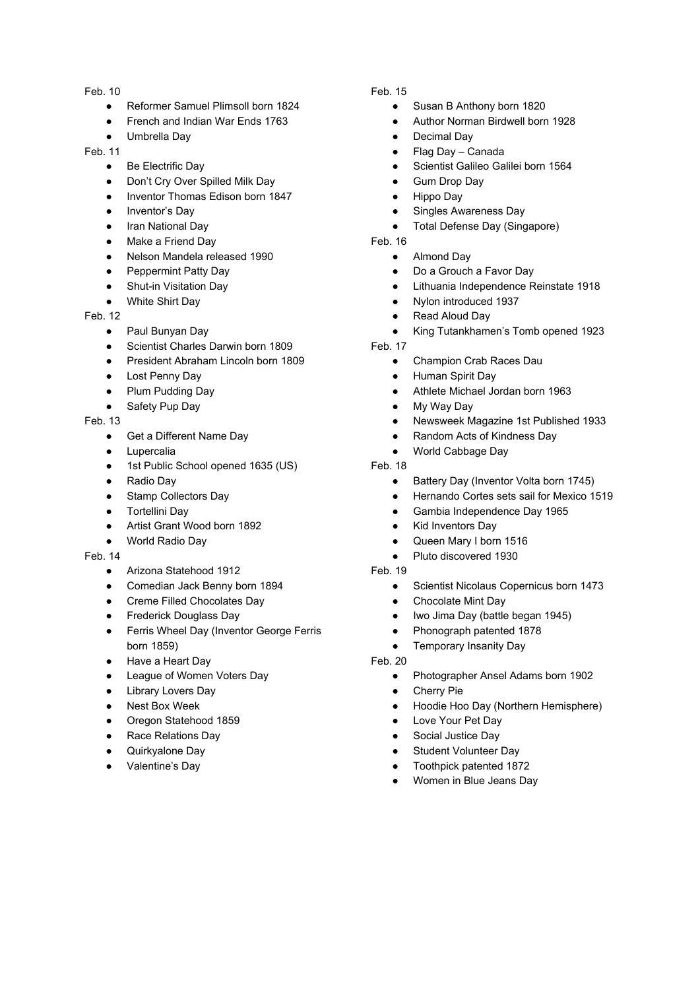Feb. 10

- Reformer Samuel Plimsoll born 1824
- French and Indian War Ends 1763
- Umbrella Day

Feb. 11

- Be Electrific Day
- Don't Cry Over Spilled Milk Day
- Inventor Thomas Edison born 1847
- Inventor's Day
- Iran National Day
- Make a Friend Day
- Nelson Mandela released 1990
- Peppermint Patty Day
- Shut-in Visitation Day
- **White Shirt Day**

Feb. 12

- Paul Bunyan Day
- Scientist Charles Darwin born 1809
- President Abraham Lincoln born 1809
- Lost Penny Day
- Plum Pudding Day
- Safety Pup Day

### Feb. 13

- Get a Different Name Day
- Lupercalia
- 1st Public School opened 1635 (US)
- Radio Day
- Stamp Collectors Day
- Tortellini Day
- Artist Grant Wood born 1892
- World Radio Day

#### Feb. 14

- Arizona Statehood 1912
- Comedian Jack Benny born 1894
- Creme Filled Chocolates Day
- Frederick Douglass Day
- Ferris Wheel Day (Inventor George Ferris born 1859)
- Have a Heart Day
- League of Women Voters Day
- Library Lovers Day
- Nest Box Week
- Oregon Statehood 1859
- Race Relations Day
- Quirkyalone Day
- Valentine's Day

# Feb. 15

- Susan B Anthony born 1820
- Author Norman Birdwell born 1928
- Decimal Day
- Flag Day Canada
- Scientist Galileo Galilei born 1564
- **Gum Drop Day**
- Hippo Day
- Singles Awareness Day
- Total Defense Day (Singapore)
- Feb. 16
	- Almond Day
	- Do a Grouch a Favor Day
	- Lithuania Independence Reinstate 1918
	- Nylon introduced 1937
	- **Read Aloud Day**
	- King Tutankhamen's Tomb opened 1923
- Feb. 17
	- Champion Crab Races Dau
	- Human Spirit Day
	- Athlete Michael Jordan born 1963
	- My Way Day
	- Newsweek Magazine 1st Published 1933
	- Random Acts of Kindness Day
	- World Cabbage Day
- Feb. 18
	- Battery Day (Inventor Volta born 1745)
	- Hernando Cortes sets sail for Mexico 1519
	- Gambia Independence Day 1965
	- Kid Inventors Day
	- Queen Mary I born 1516
	- Pluto discovered 1930

# Feb. 19

- Scientist Nicolaus Copernicus born 1473
- Chocolate Mint Day
- Iwo Jima Day (battle began 1945)
- Phonograph patented 1878
- Temporary Insanity Day

Feb. 20

- Photographer Ansel Adams born 1902
- **Cherry Pie**
- Hoodie Hoo Day (Northern Hemisphere)
- Love Your Pet Day
- Social Justice Day
- **Student Volunteer Day**
- Toothpick patented 1872
- Women in Blue Jeans Day